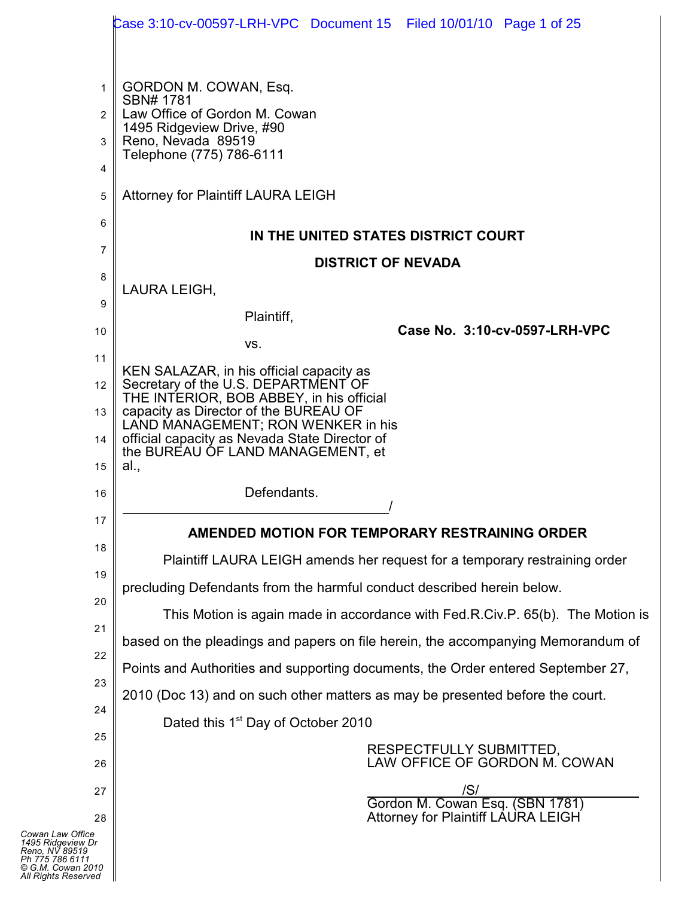|                                          | Case 3:10-cv-00597-LRH-VPC Document 15 Filed 10/01/10 Page 1 of 25                  |
|------------------------------------------|-------------------------------------------------------------------------------------|
|                                          |                                                                                     |
| 1                                        | GORDON M. COWAN, Esq.<br>SBN# 1781                                                  |
| $\overline{2}$                           | Law Office of Gordon M. Cowan<br>1495 Ridgeview Drive, #90                          |
| 3                                        | Reno, Nevada 89519<br>Telephone (775) 786-6111                                      |
| 4                                        |                                                                                     |
| 5                                        | Attorney for Plaintiff LAURA LEIGH                                                  |
| 6                                        | IN THE UNITED STATES DISTRICT COURT                                                 |
| 7                                        | <b>DISTRICT OF NEVADA</b>                                                           |
| 8                                        | LAURA LEIGH,                                                                        |
| 9                                        | Plaintiff,                                                                          |
| 10                                       | Case No. 3:10-cv-0597-LRH-VPC<br>VS.                                                |
| 11                                       | KEN SALAZAR, in his official capacity as                                            |
| 12                                       | Secretary of the U.S. DEPARTMENT OF                                                 |
| 13                                       | THE INTERIOR, BOB ABBEY, in his official<br>capacity as Director of the BUREAU OF   |
| 14                                       | LAND MANAGEMENT; RON WENKER in his<br>official capacity as Nevada State Director of |
| 15                                       | the BUREAU OF LAND MANAGEMENT, et<br>al.,                                           |
| 16                                       | Defendants.                                                                         |
| 17                                       |                                                                                     |
| 18                                       | AMENDED MOTION FOR TEMPORARY RESTRAINING ORDER                                      |
| 19                                       | Plaintiff LAURA LEIGH amends her request for a temporary restraining order          |
| 20                                       | precluding Defendants from the harmful conduct described herein below.              |
| 21                                       | This Motion is again made in accordance with Fed.R.Civ.P. 65(b). The Motion is      |
| 22                                       | based on the pleadings and papers on file herein, the accompanying Memorandum of    |
| 23                                       | Points and Authorities and supporting documents, the Order entered September 27,    |
| 24                                       | 2010 (Doc 13) and on such other matters as may be presented before the court.       |
|                                          | Dated this 1 <sup>st</sup> Day of October 2010                                      |
| 25<br>26                                 | RESPECTFULLY SUBMITTED,<br>LAW OFFICE OF GORDON M. COWAN                            |
| 27                                       | /S/                                                                                 |
| 28                                       | Gordon M. Cowan Esq. (SBN 1781)<br>Attorney for Plaintiff LAURA LEIGH               |
| fice                                     |                                                                                     |
| noo<br>v Dr<br>19<br>11<br>2010<br>prved |                                                                                     |

*Cowan Law Office 1495 Ridgeview Dr Reno, NV 89519 Ph 775 786 6111 © G.M. Cowan 2010 All Rights Reserved*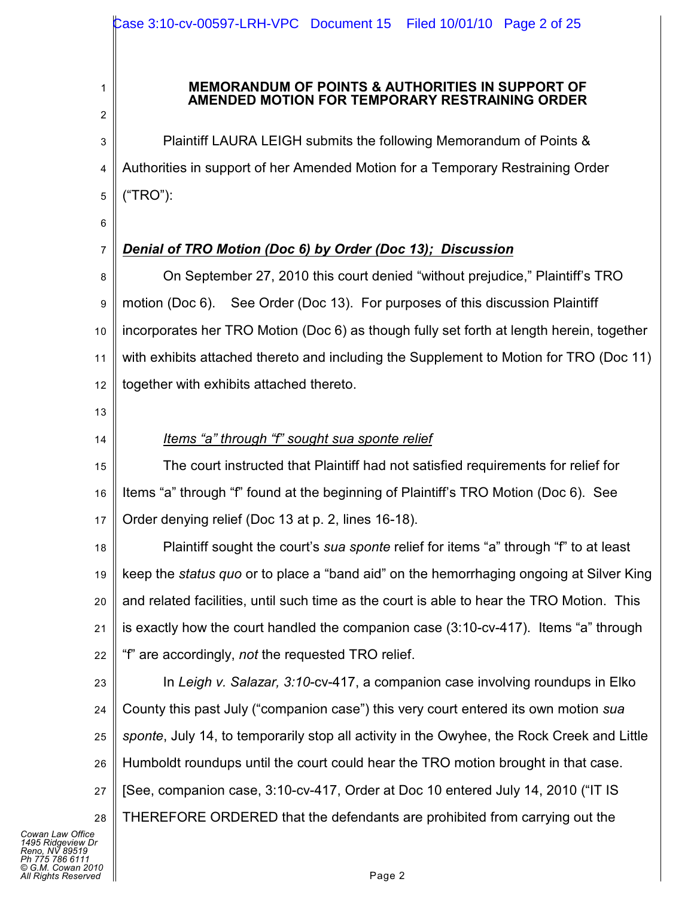#### **MEMORANDUM OF POINTS & AUTHORITIES IN SUPPORT OF AMENDED MOTION FOR TEMPORARY RESTRAINING ORDER**

3 4 5 Plaintiff LAURA LEIGH submits the following Memorandum of Points & Authorities in support of her Amended Motion for a Temporary Restraining Order ("TRO"):

6

7

1

2

# *Denial of TRO Motion (Doc 6) by Order (Doc 13); Discussion*

8 9 10 11 12 On September 27, 2010 this court denied "without prejudice," Plaintiff's TRO motion (Doc 6). See Order (Doc 13). For purposes of this discussion Plaintiff incorporates her TRO Motion (Doc 6) as though fully set forth at length herein, together with exhibits attached thereto and including the Supplement to Motion for TRO (Doc 11) together with exhibits attached thereto.

- 13
- 14

# *Items "a" through "f" sought sua sponte relief*

15 16 17 The court instructed that Plaintiff had not satisfied requirements for relief for Items "a" through "f" found at the beginning of Plaintiff's TRO Motion (Doc 6). See Order denying relief (Doc 13 at p. 2, lines 16-18).

18 19 20 21 22 Plaintiff sought the court's *sua sponte* relief for items "a" through "f" to at least keep the *status quo* or to place a "band aid" on the hemorrhaging ongoing at Silver King and related facilities, until such time as the court is able to hear the TRO Motion. This is exactly how the court handled the companion case (3:10-cv-417). Items "a" through "f" are accordingly, *not* the requested TRO relief.

23 24 25 26 27 28 In *Leigh v. Salazar, 3:10*-cv-417, a companion case involving roundups in Elko County this past July ("companion case") this very court entered its own motion *sua sponte*, July 14, to temporarily stop all activity in the Owyhee, the Rock Creek and Little Humboldt roundups until the court could hear the TRO motion brought in that case. [See, companion case, 3:10-cv-417, Order at Doc 10 entered July 14, 2010 ("IT IS THEREFORE ORDERED that the defendants are prohibited from carrying out the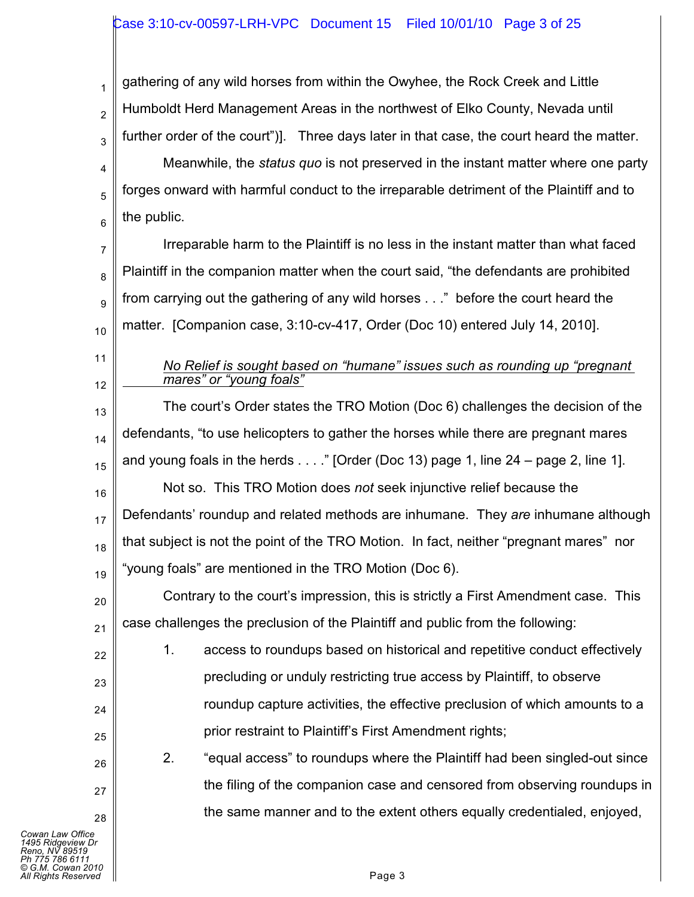1 2 3 gathering of any wild horses from within the Owyhee, the Rock Creek and Little Humboldt Herd Management Areas in the northwest of Elko County, Nevada until further order of the court")]. Three days later in that case, the court heard the matter.

4 5 6 Meanwhile, the *status quo* is not preserved in the instant matter where one party forges onward with harmful conduct to the irreparable detriment of the Plaintiff and to the public.

7 8 9 10 Irreparable harm to the Plaintiff is no less in the instant matter than what faced Plaintiff in the companion matter when the court said, "the defendants are prohibited from carrying out the gathering of any wild horses . . ." before the court heard the matter. [Companion case, 3:10-cv-417, Order (Doc 10) entered July 14, 2010].

11 12

#### *No Relief is sought based on "humane" issues such as rounding up "pregnant mares" or "young foals"*

13 14 15 16 17 18 19 The court's Order states the TRO Motion (Doc 6) challenges the decision of the defendants, "to use helicopters to gather the horses while there are pregnant mares and young foals in the herds  $\dots$  " [Order (Doc 13) page 1, line 24 – page 2, line 1]. Not so. This TRO Motion does *not* seek injunctive relief because the Defendants' roundup and related methods are inhumane. They *are* inhumane although that subject is not the point of the TRO Motion. In fact, neither "pregnant mares" nor "young foals" are mentioned in the TRO Motion (Doc 6).

20 21 Contrary to the court's impression, this is strictly a First Amendment case. This case challenges the preclusion of the Plaintiff and public from the following:

22 23 24 25 1. access to roundups based on historical and repetitive conduct effectively precluding or unduly restricting true access by Plaintiff, to observe roundup capture activities, the effective preclusion of which amounts to a prior restraint to Plaintiff's First Amendment rights;

2. "equal access" to roundups where the Plaintiff had been singled-out since the filing of the companion case and censored from observing roundups in the same manner and to the extent others equally credentialed, enjoyed,

26

27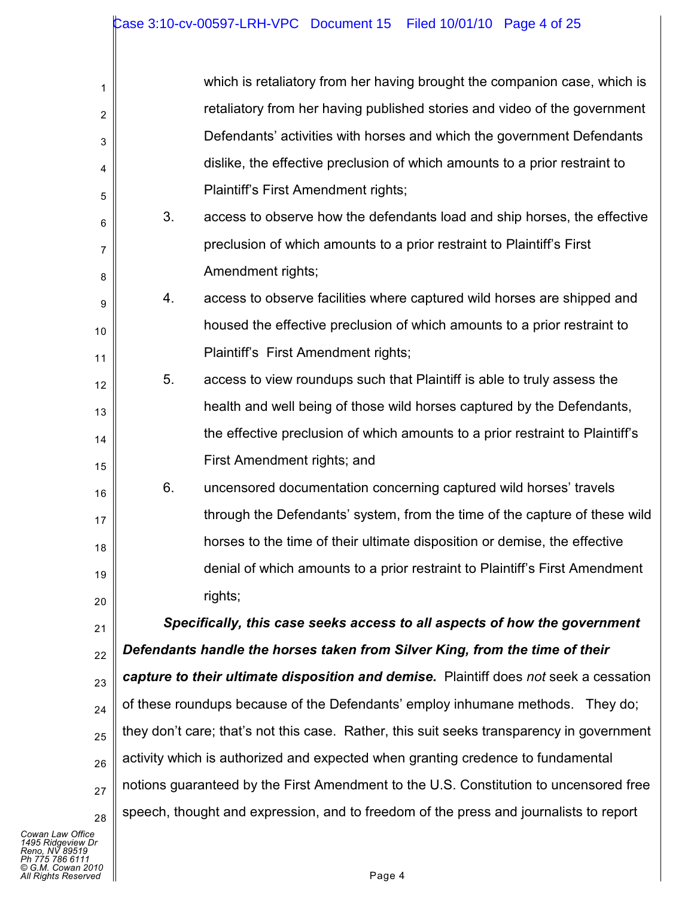| 1  |    | which is retaliatory from her having brought the companion case, which is                 |
|----|----|-------------------------------------------------------------------------------------------|
| 2  |    | retaliatory from her having published stories and video of the government                 |
| 3  |    | Defendants' activities with horses and which the government Defendants                    |
| 4  |    | dislike, the effective preclusion of which amounts to a prior restraint to                |
| 5  |    | Plaintiff's First Amendment rights;                                                       |
| 6  | 3. | access to observe how the defendants load and ship horses, the effective                  |
| 7  |    | preclusion of which amounts to a prior restraint to Plaintiff's First                     |
| 8  |    | Amendment rights;                                                                         |
| 9  | 4. | access to observe facilities where captured wild horses are shipped and                   |
| 10 |    | housed the effective preclusion of which amounts to a prior restraint to                  |
| 11 |    | Plaintiff's First Amendment rights;                                                       |
| 12 | 5. | access to view roundups such that Plaintiff is able to truly assess the                   |
| 13 |    | health and well being of those wild horses captured by the Defendants,                    |
| 14 |    | the effective preclusion of which amounts to a prior restraint to Plaintiff's             |
| 15 |    | First Amendment rights; and                                                               |
| 16 | 6. | uncensored documentation concerning captured wild horses' travels                         |
| 17 |    | through the Defendants' system, from the time of the capture of these wild                |
| 18 |    | horses to the time of their ultimate disposition or demise, the effective                 |
| 19 |    | denial of which amounts to a prior restraint to Plaintiff's First Amendment               |
| 20 |    | rights;                                                                                   |
| 21 |    | Specifically, this case seeks access to all aspects of how the government                 |
| 22 |    | Defendants handle the horses taken from Silver King, from the time of their               |
| 23 |    | capture to their ultimate disposition and demise. Plaintiff does not seek a cessation     |
| 24 |    | of these roundups because of the Defendants' employ inhumane methods. They do;            |
| 25 |    | they don't care; that's not this case. Rather, this suit seeks transparency in government |
| 26 |    | activity which is authorized and expected when granting credence to fundamental           |
| 27 |    | notions guaranteed by the First Amendment to the U.S. Constitution to uncensored free     |
| 28 |    | speech, thought and expression, and to freedom of the press and journalists to report     |
|    |    |                                                                                           |

*Cowan Law Office*<br>1495 Ridgeview Dr<br>Reno, NV 89519<br>Ph 775 786 6111<br>All Rights Reserved ■<br>All Rights Reserved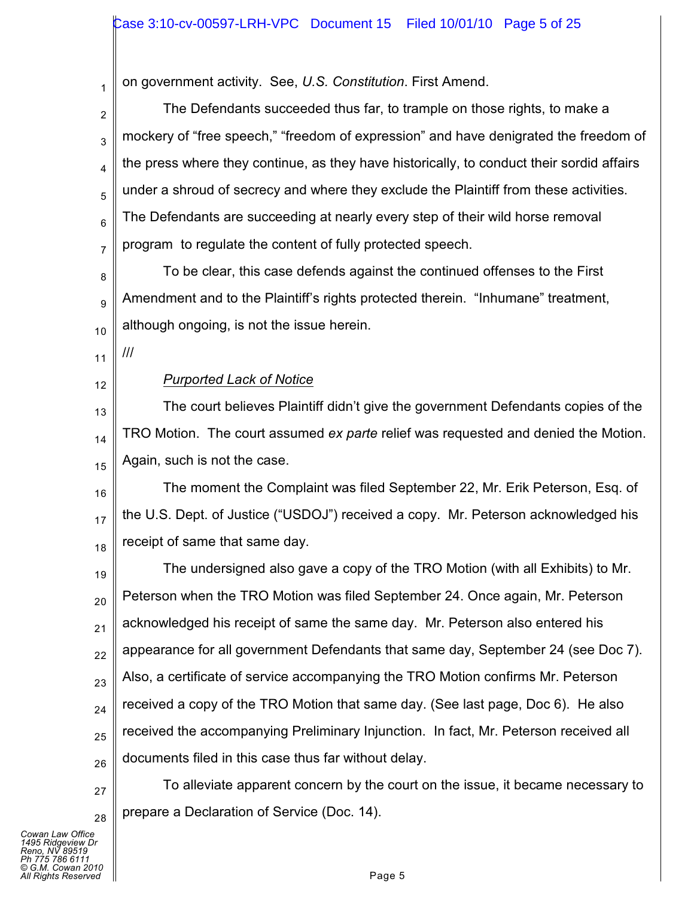on government activity. See, *U.S. Constitution*. First Amend.

2 3 4 5 6 7 The Defendants succeeded thus far, to trample on those rights, to make a mockery of "free speech," "freedom of expression" and have denigrated the freedom of the press where they continue, as they have historically, to conduct their sordid affairs under a shroud of secrecy and where they exclude the Plaintiff from these activities. The Defendants are succeeding at nearly every step of their wild horse removal program to regulate the content of fully protected speech.

8 9 10 To be clear, this case defends against the continued offenses to the First Amendment and to the Plaintiff's rights protected therein. "Inhumane" treatment, although ongoing, is not the issue herein.

11

///

1

12

## *Purported Lack of Notice*

13 14 15 The court believes Plaintiff didn't give the government Defendants copies of the TRO Motion. The court assumed *ex parte* relief was requested and denied the Motion. Again, such is not the case.

16 17 18 The moment the Complaint was filed September 22, Mr. Erik Peterson, Esq. of the U.S. Dept. of Justice ("USDOJ") received a copy. Mr. Peterson acknowledged his receipt of same that same day.

19 20 21 22 23 24 25 26 The undersigned also gave a copy of the TRO Motion (with all Exhibits) to Mr. Peterson when the TRO Motion was filed September 24. Once again, Mr. Peterson acknowledged his receipt of same the same day. Mr. Peterson also entered his appearance for all government Defendants that same day, September 24 (see Doc 7). Also, a certificate of service accompanying the TRO Motion confirms Mr. Peterson received a copy of the TRO Motion that same day. (See last page, Doc 6). He also received the accompanying Preliminary Injunction. In fact, Mr. Peterson received all documents filed in this case thus far without delay.

27 28 To alleviate apparent concern by the court on the issue, it became necessary to prepare a Declaration of Service (Doc. 14).

*Cowan Law Office 1495 Ridgeview Dr Reno, NV 89519 Ph 775 786 6111 © G.M. Cowan 2010 All Rights Reserved* Page 5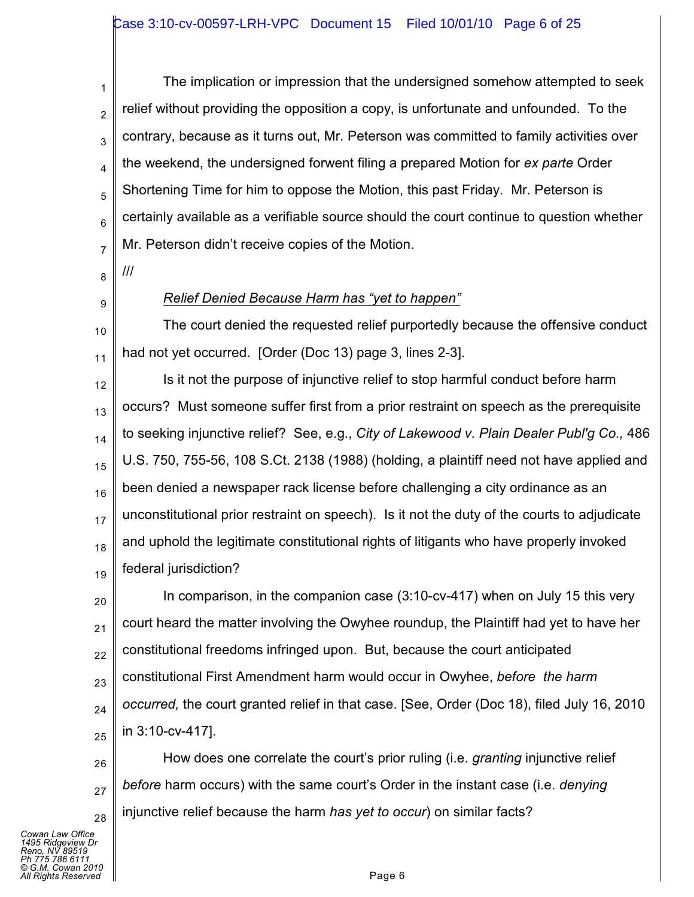1 2 3 4 5 6 7 The implication or impression that the undersigned somehow attempted to seek relief without providing the opposition a copy, is unfortunate and unfounded. To the contrary, because as it turns out, Mr. Peterson was committed to family activities over the weekend, the undersigned forwent filing a prepared Motion for *ex parte* Order Shortening Time for him to oppose the Motion, this past Friday. Mr. Peterson is certainly available as a verifiable source should the court continue to question whether Mr. Peterson didn't receive copies of the Motion.

8 ///

9

*Relief Denied Because Harm has "yet to happen"*

10 11 The court denied the requested relief purportedly because the offensive conduct had not yet occurred. [Order (Doc 13) page 3, lines 2-3].

12 13 14 15 16 17 18 19 Is it not the purpose of injunctive relief to stop harmful conduct before harm occurs? Must someone suffer first from a prior restraint on speech as the prerequisite to seeking injunctive relief? See, e.g., *City of Lakewood v. Plain Dealer Publ'g Co.,* 486 U.S. 750, 755-56, 108 S.Ct. 2138 (1988) (holding, a plaintiff need not have applied and been denied a newspaper rack license before challenging a city ordinance as an unconstitutional prior restraint on speech). Is it not the duty of the courts to adjudicate and uphold the legitimate constitutional rights of litigants who have properly invoked federal jurisdiction?

20 21 22 23 24 25 In comparison, in the companion case (3:10-cv-417) when on July 15 this very court heard the matter involving the Owyhee roundup, the Plaintiff had yet to have her constitutional freedoms infringed upon. But, because the court anticipated constitutional First Amendment harm would occur in Owyhee, *before the harm occurred,* the court granted relief in that case. [See, Order (Doc 18), filed July 16, 2010 in 3:10-cv-417].

26 27 28 How does one correlate the court's prior ruling (i.e. *granting* injunctive relief *before* harm occurs) with the same court's Order in the instant case (i.e. *denying* injunctive relief because the harm *has yet to occur*) on similar facts?

*Cowan Law Office 1495 Ridgeview Dr Reno, NV 89519 Ph 775 786 6111 © G.M. Cowan 2010 All Rights Reserved* Page 6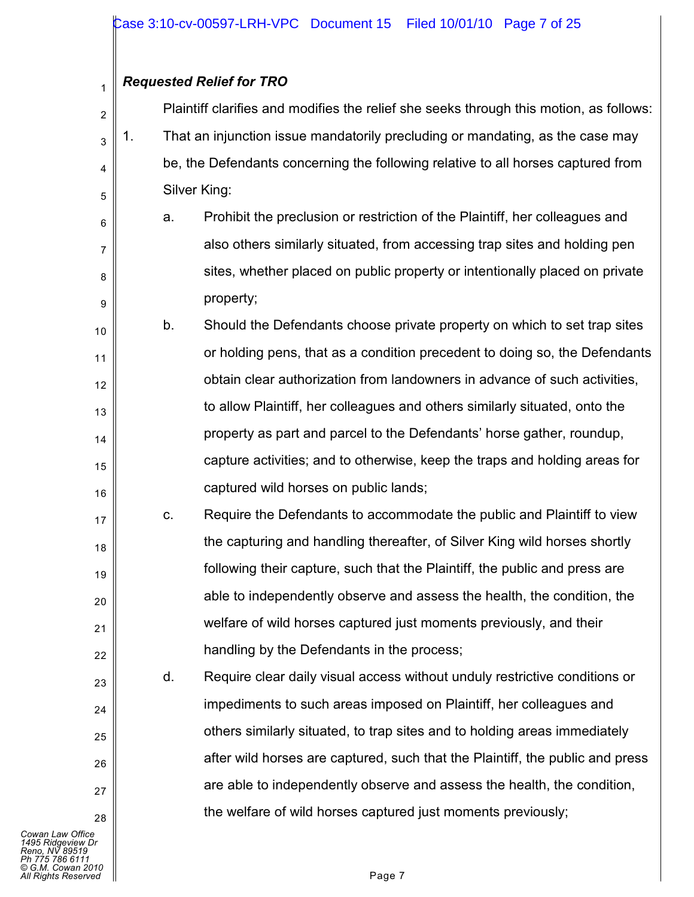# *Requested Relief for TRO*

1

6

7

8

9

17

18

19

20

21

22

23

 $24$ 

25

26

27

28

2 3 4 5 Plaintiff clarifies and modifies the relief she seeks through this motion, as follows: 1. That an injunction issue mandatorily precluding or mandating, as the case may be, the Defendants concerning the following relative to all horses captured from Silver King:

a. Prohibit the preclusion or restriction of the Plaintiff, her colleagues and also others similarly situated, from accessing trap sites and holding pen sites, whether placed on public property or intentionally placed on private property;

10 11 12 13 14 15 16 b. Should the Defendants choose private property on which to set trap sites or holding pens, that as a condition precedent to doing so, the Defendants obtain clear authorization from landowners in advance of such activities, to allow Plaintiff, her colleagues and others similarly situated, onto the property as part and parcel to the Defendants' horse gather, roundup, capture activities; and to otherwise, keep the traps and holding areas for captured wild horses on public lands;

c. Require the Defendants to accommodate the public and Plaintiff to view the capturing and handling thereafter, of Silver King wild horses shortly following their capture, such that the Plaintiff, the public and press are able to independently observe and assess the health, the condition, the welfare of wild horses captured just moments previously, and their handling by the Defendants in the process;

d. Require clear daily visual access without unduly restrictive conditions or impediments to such areas imposed on Plaintiff, her colleagues and others similarly situated, to trap sites and to holding areas immediately after wild horses are captured, such that the Plaintiff, the public and press are able to independently observe and assess the health, the condition, the welfare of wild horses captured just moments previously;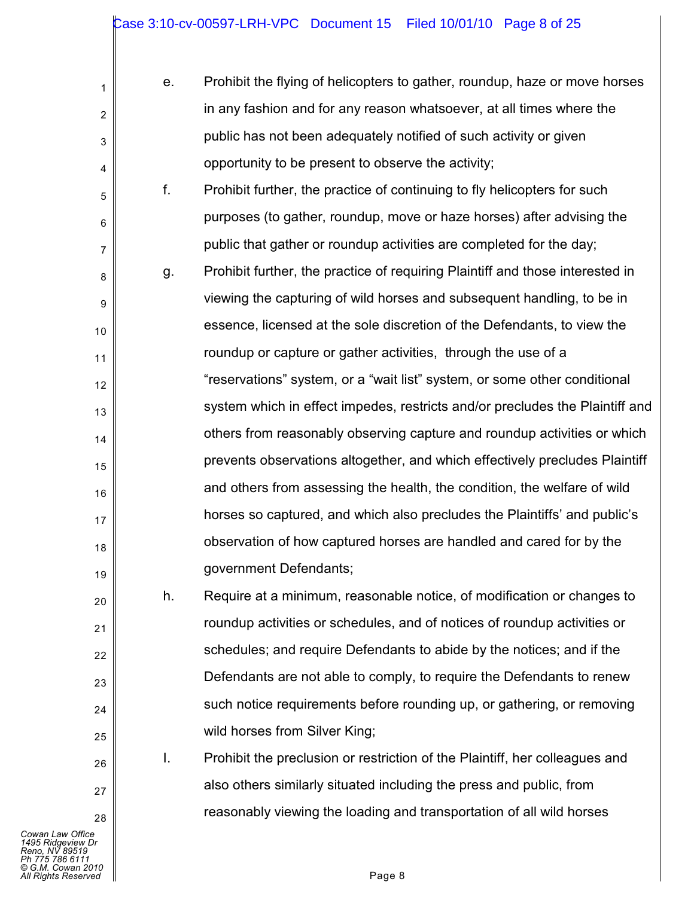| е. | Prohibit the flying of helicopters to gather, roundup, haze or move horses |
|----|----------------------------------------------------------------------------|
|    | in any fashion and for any reason whatsoever, at all times where the       |
|    | public has not been adequately notified of such activity or given          |
|    | opportunity to be present to observe the activity;                         |

f. Prohibit further, the practice of continuing to fly helicopters for such purposes (to gather, roundup, move or haze horses) after advising the public that gather or roundup activities are completed for the day;

8 9 10 11 12 13 14 15 16 17 18 19 g. Prohibit further, the practice of requiring Plaintiff and those interested in viewing the capturing of wild horses and subsequent handling, to be in essence, licensed at the sole discretion of the Defendants, to view the roundup or capture or gather activities, through the use of a "reservations" system, or a "wait list" system, or some other conditional system which in effect impedes, restricts and/or precludes the Plaintiff and others from reasonably observing capture and roundup activities or which prevents observations altogether, and which effectively precludes Plaintiff and others from assessing the health, the condition, the welfare of wild horses so captured, and which also precludes the Plaintiffs' and public's observation of how captured horses are handled and cared for by the government Defendants;

h. Require at a minimum, reasonable notice, of modification or changes to roundup activities or schedules, and of notices of roundup activities or schedules; and require Defendants to abide by the notices; and if the Defendants are not able to comply, to require the Defendants to renew such notice requirements before rounding up, or gathering, or removing wild horses from Silver King;

I. Prohibit the preclusion or restriction of the Plaintiff, her colleagues and also others similarly situated including the press and public, from reasonably viewing the loading and transportation of all wild horses

*Cowan Law Office 1495 Ridgeview Dr Reno, NV 89519 Ph 775 786 6111 © G.M. Cowan 2010 All Rights Reserved* Page 8

1

2

3

4

5

6

7

20

21

22

23

24

25

26

27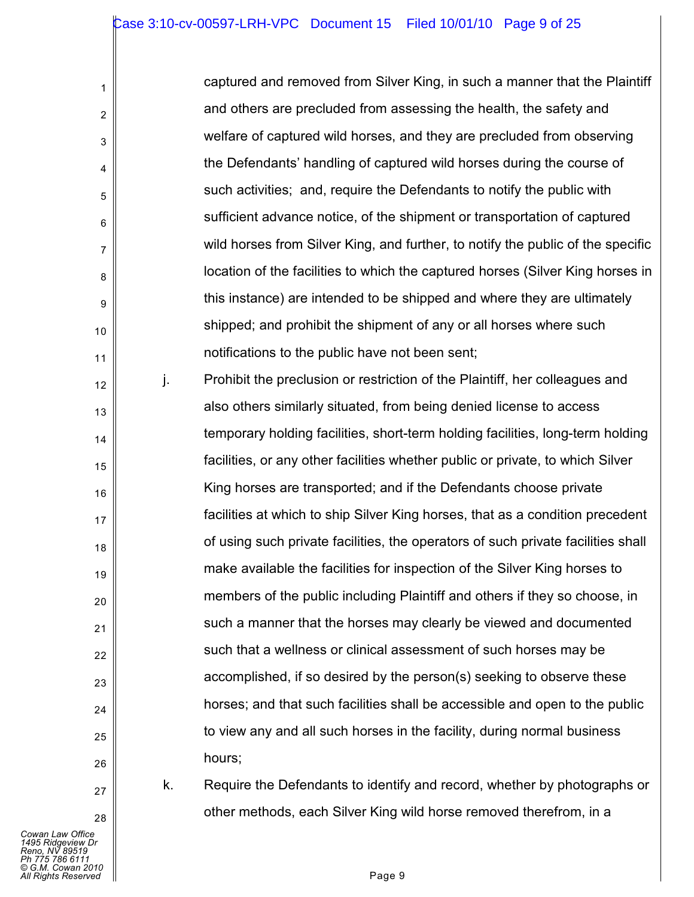| captured and removed from Silver King, in such a manner that the Plaintiff      |
|---------------------------------------------------------------------------------|
| and others are precluded from assessing the health, the safety and              |
| welfare of captured wild horses, and they are precluded from observing          |
| the Defendants' handling of captured wild horses during the course of           |
| such activities; and, require the Defendants to notify the public with          |
| sufficient advance notice, of the shipment or transportation of captured        |
| wild horses from Silver King, and further, to notify the public of the specific |
| location of the facilities to which the captured horses (Silver King horses in  |
| this instance) are intended to be shipped and where they are ultimately         |
| shipped; and prohibit the shipment of any or all horses where such              |
| notifications to the public have not been sent;                                 |
|                                                                                 |

12 13 15 16 18 19 20 22 23 24 25 26 j. Prohibit the preclusion or restriction of the Plaintiff, her colleagues and also others similarly situated, from being denied license to access temporary holding facilities, short-term holding facilities, long-term holding facilities, or any other facilities whether public or private, to which Silver King horses are transported; and if the Defendants choose private facilities at which to ship Silver King horses, that as a condition precedent of using such private facilities, the operators of such private facilities shall make available the facilities for inspection of the Silver King horses to members of the public including Plaintiff and others if they so choose, in such a manner that the horses may clearly be viewed and documented such that a wellness or clinical assessment of such horses may be accomplished, if so desired by the person(s) seeking to observe these horses; and that such facilities shall be accessible and open to the public to view any and all such horses in the facility, during normal business hours;

27 28

1

2

3

4

5

6

7

8

9

10

11

14

17

21

k. Require the Defendants to identify and record, whether by photographs or other methods, each Silver King wild horse removed therefrom, in a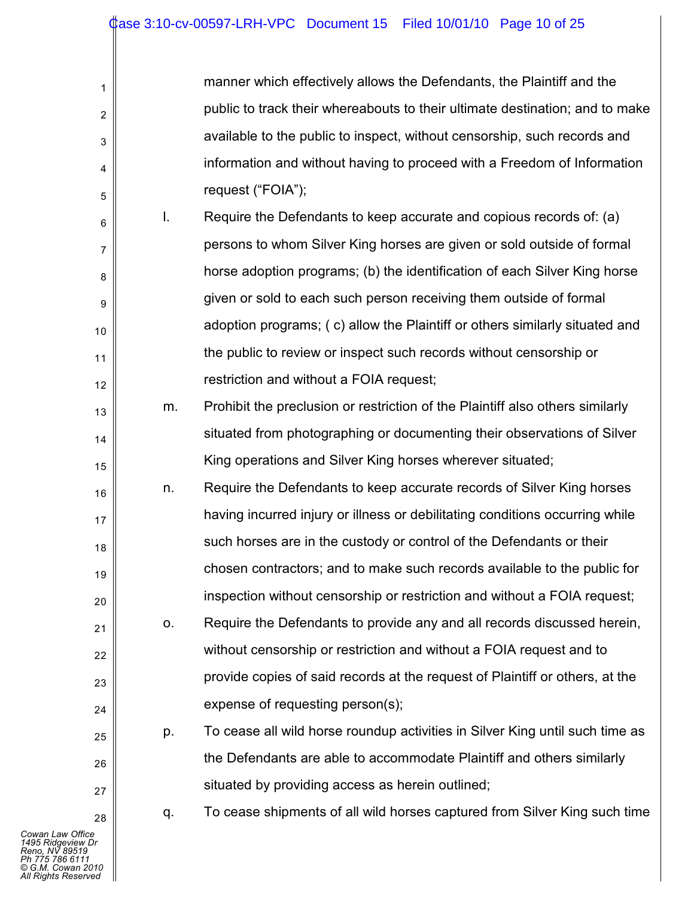| manner which effectively allows the Defendants, the Plaintiff and the        |
|------------------------------------------------------------------------------|
| public to track their whereabouts to their ultimate destination; and to make |
| available to the public to inspect, without censorship, such records and     |
| information and without having to proceed with a Freedom of Information      |
| request ("FOIA");                                                            |

- 6 7 8 9 10 11 12 l. Require the Defendants to keep accurate and copious records of: (a) persons to whom Silver King horses are given or sold outside of formal horse adoption programs; (b) the identification of each Silver King horse given or sold to each such person receiving them outside of formal adoption programs; ( c) allow the Plaintiff or others similarly situated and the public to review or inspect such records without censorship or restriction and without a FOIA request;
	- m. Prohibit the preclusion or restriction of the Plaintiff also others similarly situated from photographing or documenting their observations of Silver King operations and Silver King horses wherever situated;
- 16 17 18 19 20 n. Require the Defendants to keep accurate records of Silver King horses having incurred injury or illness or debilitating conditions occurring while such horses are in the custody or control of the Defendants or their chosen contractors; and to make such records available to the public for inspection without censorship or restriction and without a FOIA request;
	- o. Require the Defendants to provide any and all records discussed herein, without censorship or restriction and without a FOIA request and to provide copies of said records at the request of Plaintiff or others, at the expense of requesting person(s);
		- p. To cease all wild horse roundup activities in Silver King until such time as the Defendants are able to accommodate Plaintiff and others similarly situated by providing access as herein outlined;
			- q. To cease shipments of all wild horses captured from Silver King such time

1

2

3

4

5

13

14

15

21

22

23

24

25

26

27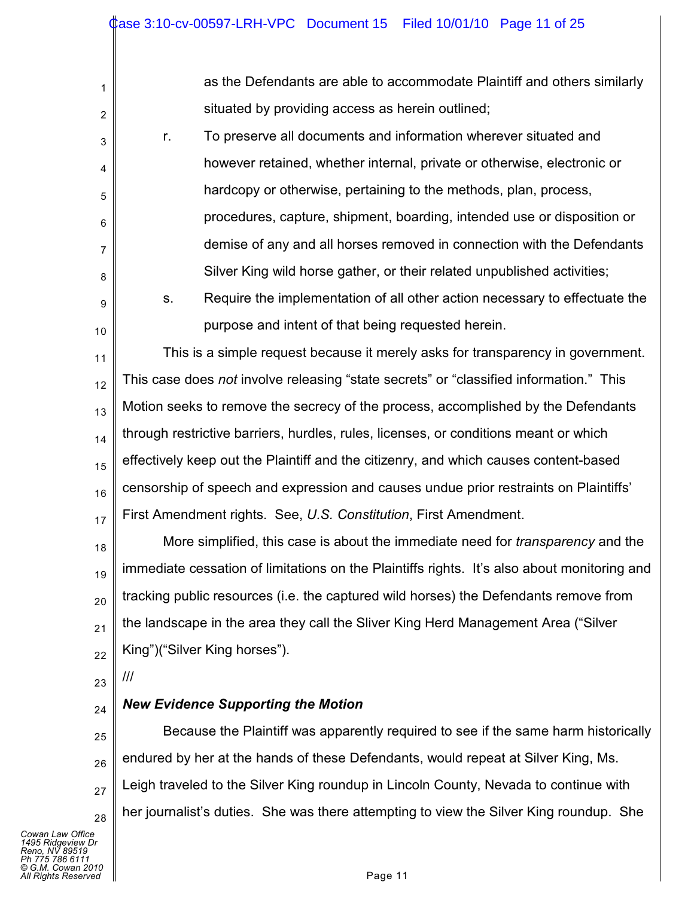| 1  |               | as the Defendants are able to accommodate Plaintiff and others similarly                    |
|----|---------------|---------------------------------------------------------------------------------------------|
| 2  |               | situated by providing access as herein outlined;                                            |
| 3  | r.            | To preserve all documents and information wherever situated and                             |
| 4  |               | however retained, whether internal, private or otherwise, electronic or                     |
| 5  |               | hardcopy or otherwise, pertaining to the methods, plan, process,                            |
| 6  |               | procedures, capture, shipment, boarding, intended use or disposition or                     |
| 7  |               | demise of any and all horses removed in connection with the Defendants                      |
| 8  |               | Silver King wild horse gather, or their related unpublished activities;                     |
| 9  | S.            | Require the implementation of all other action necessary to effectuate the                  |
| 10 |               | purpose and intent of that being requested herein.                                          |
| 11 |               | This is a simple request because it merely asks for transparency in government.             |
| 12 |               | This case does not involve releasing "state secrets" or "classified information." This      |
| 13 |               | Motion seeks to remove the secrecy of the process, accomplished by the Defendants           |
| 14 |               | through restrictive barriers, hurdles, rules, licenses, or conditions meant or which        |
| 15 |               | effectively keep out the Plaintiff and the citizenry, and which causes content-based        |
| 16 |               | censorship of speech and expression and causes undue prior restraints on Plaintiffs'        |
| 17 |               | First Amendment rights. See, U.S. Constitution, First Amendment.                            |
| 18 |               | More simplified, this case is about the immediate need for <i>transparency</i> and the      |
| 19 |               | immediate cessation of limitations on the Plaintiffs rights. It's also about monitoring and |
| 20 |               | tracking public resources (i.e. the captured wild horses) the Defendants remove from        |
| 21 |               | the landscape in the area they call the Sliver King Herd Management Area ("Silver           |
| 22 |               | King")("Silver King horses").                                                               |
| 23 | $\frac{1}{1}$ |                                                                                             |
| 24 |               | <b>New Evidence Supporting the Motion</b>                                                   |
| 25 |               | Because the Plaintiff was apparently required to see if the same harm historically          |

26 27 28 endured by her at the hands of these Defendants, would repeat at Silver King, Ms. Leigh traveled to the Silver King roundup in Lincoln County, Nevada to continue with her journalist's duties. She was there attempting to view the Silver King roundup. She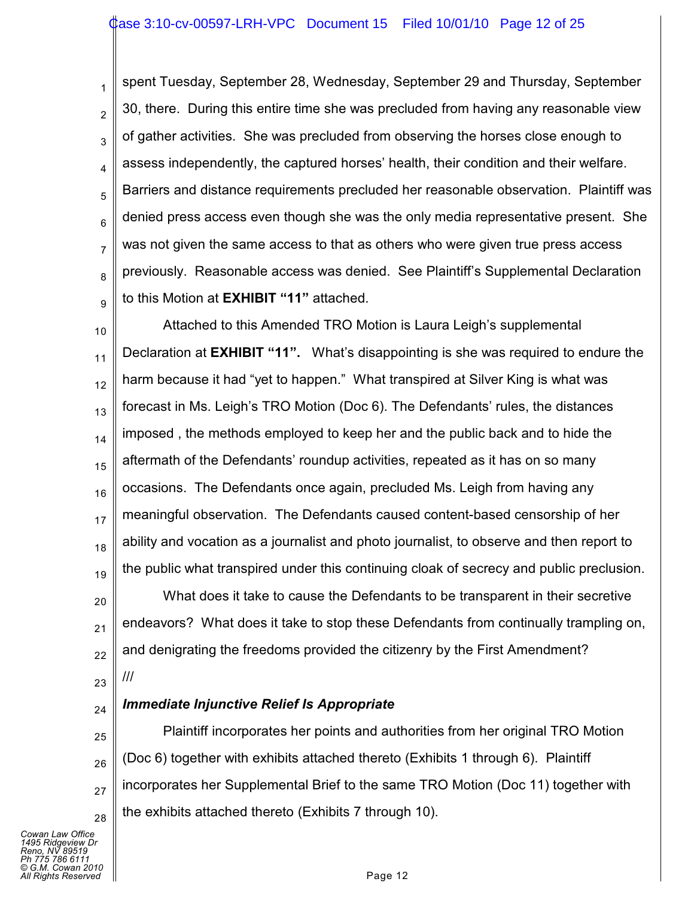#### ase 3:10-cv-00597-LRH-VPC Document 15 Filed 10/01/10 Page 12 of 25

1 2 3 4 5 6 7 8 9 spent Tuesday, September 28, Wednesday, September 29 and Thursday, September 30, there. During this entire time she was precluded from having any reasonable view of gather activities. She was precluded from observing the horses close enough to assess independently, the captured horses' health, their condition and their welfare. Barriers and distance requirements precluded her reasonable observation. Plaintiff was denied press access even though she was the only media representative present. She was not given the same access to that as others who were given true press access previously. Reasonable access was denied. See Plaintiff's Supplemental Declaration to this Motion at **EXHIBIT "11"** attached.

10 11 12 13 14 15 16 17 18 19 Attached to this Amended TRO Motion is Laura Leigh's supplemental Declaration at **EXHIBIT "11".** What's disappointing is she was required to endure the harm because it had "yet to happen." What transpired at Silver King is what was forecast in Ms. Leigh's TRO Motion (Doc 6). The Defendants' rules, the distances imposed , the methods employed to keep her and the public back and to hide the aftermath of the Defendants' roundup activities, repeated as it has on so many occasions. The Defendants once again, precluded Ms. Leigh from having any meaningful observation. The Defendants caused content-based censorship of her ability and vocation as a journalist and photo journalist, to observe and then report to the public what transpired under this continuing cloak of secrecy and public preclusion.

20 21 22 23 What does it take to cause the Defendants to be transparent in their secretive endeavors? What does it take to stop these Defendants from continually trampling on, and denigrating the freedoms provided the citizenry by the First Amendment? ///

#### 24 *Immediate Injunctive Relief Is Appropriate*

25 26 27 28 Plaintiff incorporates her points and authorities from her original TRO Motion (Doc 6) together with exhibits attached thereto (Exhibits 1 through 6). Plaintiff incorporates her Supplemental Brief to the same TRO Motion (Doc 11) together with the exhibits attached thereto (Exhibits 7 through 10).

*Cowan Law Office 1495 Ridgeview Dr Reno, NV 89519 Ph 775 786 6111 © G.M. Cowan 2010 Alghts Reserved* Page 12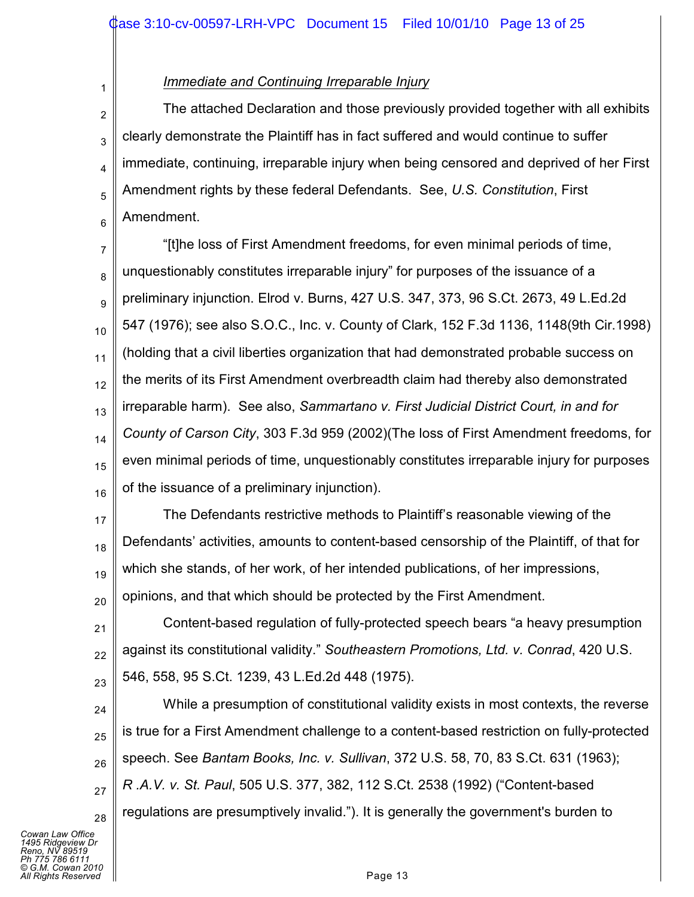## *Immediate and Continuing Irreparable Injury*

1

2 3 4 5 6 The attached Declaration and those previously provided together with all exhibits clearly demonstrate the Plaintiff has in fact suffered and would continue to suffer immediate, continuing, irreparable injury when being censored and deprived of her First Amendment rights by these federal Defendants. See, *U.S. Constitution*, First Amendment.

7 8 9 10 11 12 13 14 15 16 "[t]he loss of First Amendment freedoms, for even minimal periods of time, unquestionably constitutes irreparable injury" for purposes of the issuance of a preliminary injunction. Elrod v. Burns, 427 U.S. 347, 373, 96 S.Ct. 2673, 49 L.Ed.2d 547 (1976); see also S.O.C., Inc. v. County of Clark, 152 F.3d 1136, 1148(9th Cir.1998) (holding that a civil liberties organization that had demonstrated probable success on the merits of its First Amendment overbreadth claim had thereby also demonstrated irreparable harm). See also, *Sammartano v. First Judicial District Court, in and for County of Carson City*, 303 F.3d 959 (2002)(The loss of First Amendment freedoms, for even minimal periods of time, unquestionably constitutes irreparable injury for purposes of the issuance of a preliminary injunction).

17 18 19 20 The Defendants restrictive methods to Plaintiff's reasonable viewing of the Defendants' activities, amounts to content-based censorship of the Plaintiff, of that for which she stands, of her work, of her intended publications, of her impressions, opinions, and that which should be protected by the First Amendment.

21 22 23 Content-based regulation of fully-protected speech bears "a heavy presumption against its constitutional validity." *Southeastern Promotions, Ltd. v. Conrad*, 420 U.S. 546, 558, 95 S.Ct. 1239, 43 L.Ed.2d 448 (1975).

24 25 26 27 28 While a presumption of constitutional validity exists in most contexts, the reverse is true for a First Amendment challenge to a content-based restriction on fully-protected speech. See *Bantam Books, Inc. v. Sullivan*, 372 U.S. 58, 70, 83 S.Ct. 631 (1963); *R .A.V. v. St. Paul*, 505 U.S. 377, 382, 112 S.Ct. 2538 (1992) ("Content-based regulations are presumptively invalid."). It is generally the government's burden to

*Cowan Law Office 1495 Ridgeview Dr Reno, NV 89519 Ph 775 786 6111 © G.M. Cowan 2010 Alghts Reserved* Page 13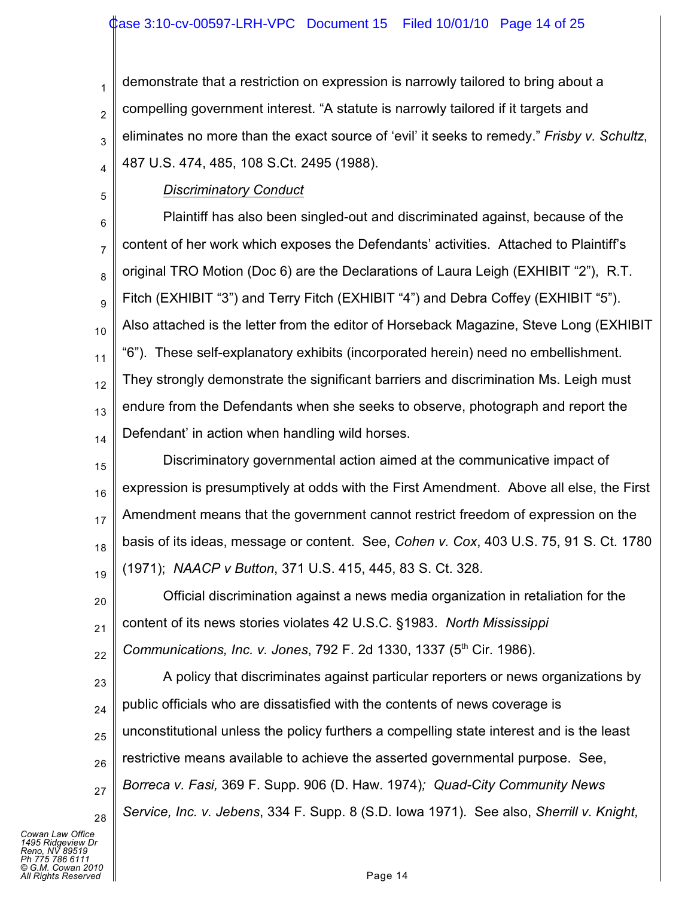1 2 3 4 demonstrate that a restriction on expression is narrowly tailored to bring about a compelling government interest. "A statute is narrowly tailored if it targets and eliminates no more than the exact source of 'evil' it seeks to remedy." *Frisby v. Schultz*, 487 U.S. 474, 485, 108 S.Ct. 2495 (1988).

5

# *Discriminatory Conduct*

6 7 8 9 10 11 12 13 14 Plaintiff has also been singled-out and discriminated against, because of the content of her work which exposes the Defendants' activities. Attached to Plaintiff's original TRO Motion (Doc 6) are the Declarations of Laura Leigh (EXHIBIT "2"), R.T. Fitch (EXHIBIT "3") and Terry Fitch (EXHIBIT "4") and Debra Coffey (EXHIBIT "5"). Also attached is the letter from the editor of Horseback Magazine, Steve Long (EXHIBIT "6"). These self-explanatory exhibits (incorporated herein) need no embellishment. They strongly demonstrate the significant barriers and discrimination Ms. Leigh must endure from the Defendants when she seeks to observe, photograph and report the Defendant' in action when handling wild horses.

15 16 17 18 19 Discriminatory governmental action aimed at the communicative impact of expression is presumptively at odds with the First Amendment. Above all else, the First Amendment means that the government cannot restrict freedom of expression on the basis of its ideas, message or content. See, *Cohen v. Cox*, 403 U.S. 75, 91 S. Ct. 1780 (1971); *NAACP v Button*, 371 U.S. 415, 445, 83 S. Ct. 328.

20 21 22 Official discrimination against a news media organization in retaliation for the content of its news stories violates 42 U.S.C. §1983. *North Mississippi Communications, Inc. v. Jones, 792 F. 2d 1330, 1337 (5<sup>th</sup> Cir. 1986).* 

23 24 25 26 27 28 A policy that discriminates against particular reporters or news organizations by public officials who are dissatisfied with the contents of news coverage is unconstitutional unless the policy furthers a compelling state interest and is the least restrictive means available to achieve the asserted governmental purpose. See, *Borreca v. Fasi,* 369 F. Supp. 906 (D. Haw. 1974)*; Quad-City Community News Service, Inc. v. Jebens*, 334 F. Supp. 8 (S.D. Iowa 1971). See also, *Sherrill v. Knight,*

*Cowan Law Office 1495 Ridgeview Dr Reno, NV 89519 Ph 775 786 6111 © G.M. Cowan 2010 All Rights Reserved* Page 14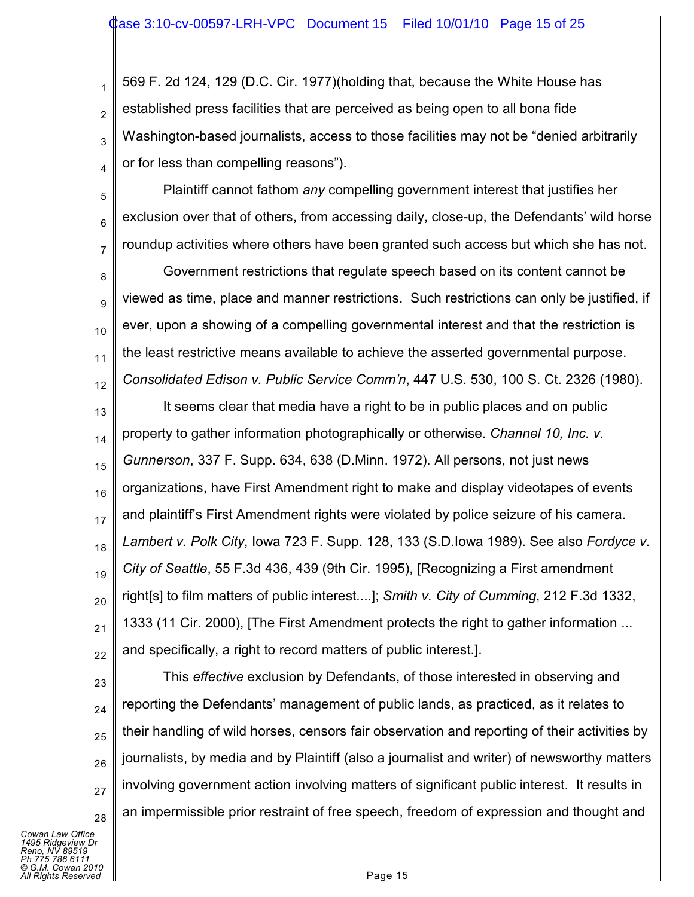1 2 3 4 569 F. 2d 124, 129 (D.C. Cir. 1977)(holding that, because the White House has established press facilities that are perceived as being open to all bona fide Washington-based journalists, access to those facilities may not be "denied arbitrarily or for less than compelling reasons").

5 6 7 Plaintiff cannot fathom *any* compelling government interest that justifies her exclusion over that of others, from accessing daily, close-up, the Defendants' wild horse roundup activities where others have been granted such access but which she has not.

8 9 10 11 12 Government restrictions that regulate speech based on its content cannot be viewed as time, place and manner restrictions. Such restrictions can only be justified, if ever, upon a showing of a compelling governmental interest and that the restriction is the least restrictive means available to achieve the asserted governmental purpose. *Consolidated Edison v. Public Service Comm'n*, 447 U.S. 530, 100 S. Ct. 2326 (1980).

13 14 15 16 17 18 19 20 21 22 It seems clear that media have a right to be in public places and on public property to gather information photographically or otherwise. *Channel 10, Inc. v. Gunnerson*, 337 F. Supp. 634, 638 (D.Minn. 1972). All persons, not just news organizations, have First Amendment right to make and display videotapes of events and plaintiff's First Amendment rights were violated by police seizure of his camera. *Lambert v. Polk City*, Iowa 723 F. Supp. 128, 133 (S.D.Iowa 1989). See also *Fordyce v. City of Seattle*, 55 F.3d 436, 439 (9th Cir. 1995), [Recognizing a First amendment right[s] to film matters of public interest....]; *Smith v. City of Cumming*, 212 F.3d 1332, 1333 (11 Cir. 2000), [The First Amendment protects the right to gather information ... and specifically, a right to record matters of public interest.].

23

24

25

26

27

28

This *effective* exclusion by Defendants, of those interested in observing and reporting the Defendants' management of public lands, as practiced, as it relates to their handling of wild horses, censors fair observation and reporting of their activities by journalists, by media and by Plaintiff (also a journalist and writer) of newsworthy matters involving government action involving matters of significant public interest. It results in an impermissible prior restraint of free speech, freedom of expression and thought and

*Cowan Law Office 1495 Ridgeview Dr Reno, NV 89519 Ph 775 786 6111 © G.M. Cowan 2010 Alights Reserved* Page 15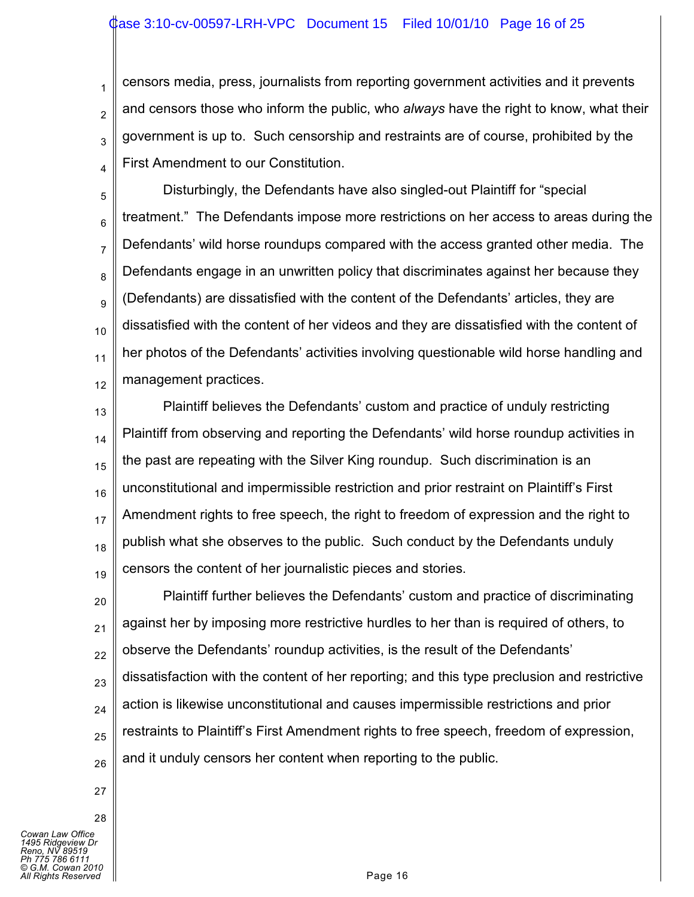#### ase 3:10-cv-00597-LRH-VPC Document 15 Filed 10/01/10 Page 16 of 25

3 censors media, press, journalists from reporting government activities and it prevents and censors those who inform the public, who *always* have the right to know, what their government is up to. Such censorship and restraints are of course, prohibited by the First Amendment to our Constitution.

5 6 7 8 9 10 11 12 Disturbingly, the Defendants have also singled-out Plaintiff for "special treatment." The Defendants impose more restrictions on her access to areas during the Defendants' wild horse roundups compared with the access granted other media. The Defendants engage in an unwritten policy that discriminates against her because they (Defendants) are dissatisfied with the content of the Defendants' articles, they are dissatisfied with the content of her videos and they are dissatisfied with the content of her photos of the Defendants' activities involving questionable wild horse handling and management practices.

13 14 15 16 17 18 19 Plaintiff believes the Defendants' custom and practice of unduly restricting Plaintiff from observing and reporting the Defendants' wild horse roundup activities in the past are repeating with the Silver King roundup. Such discrimination is an unconstitutional and impermissible restriction and prior restraint on Plaintiff's First Amendment rights to free speech, the right to freedom of expression and the right to publish what she observes to the public. Such conduct by the Defendants unduly censors the content of her journalistic pieces and stories.

20 21 22 23 24 25 26 Plaintiff further believes the Defendants' custom and practice of discriminating against her by imposing more restrictive hurdles to her than is required of others, to observe the Defendants' roundup activities, is the result of the Defendants' dissatisfaction with the content of her reporting; and this type preclusion and restrictive action is likewise unconstitutional and causes impermissible restrictions and prior restraints to Plaintiff's First Amendment rights to free speech, freedom of expression, and it unduly censors her content when reporting to the public.

27

28

1

2

4

*Cowan Law Office 1495 Ridgeview Dr Reno, NV 89519 Ph 775 786 6111 © G.M. Cowan 2010 Alights Reserved* **Page 16**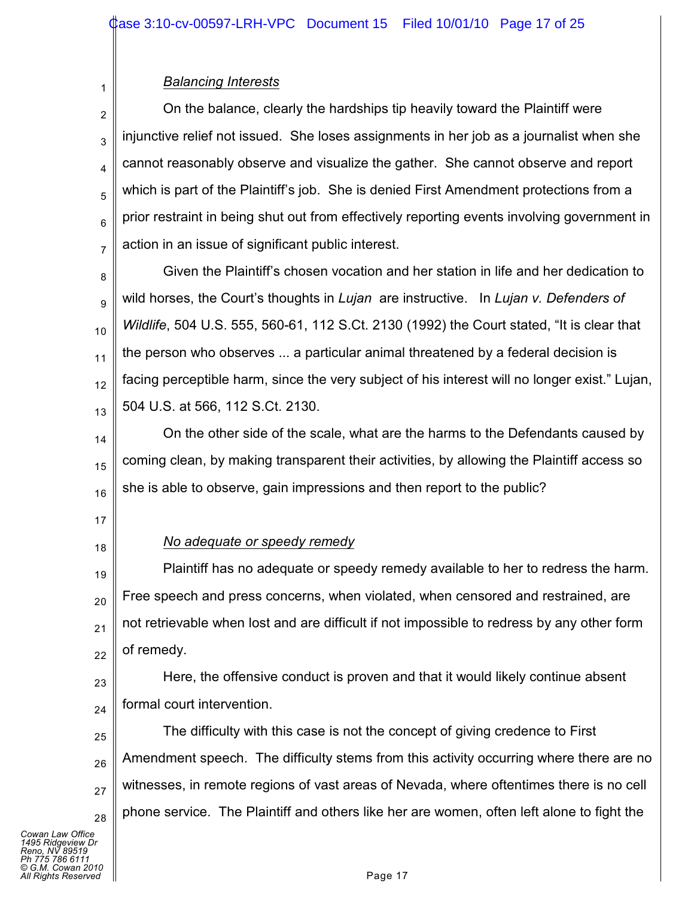## *Balancing Interests*

2 3 4 5 6 7 On the balance, clearly the hardships tip heavily toward the Plaintiff were injunctive relief not issued. She loses assignments in her job as a journalist when she cannot reasonably observe and visualize the gather. She cannot observe and report which is part of the Plaintiff's job. She is denied First Amendment protections from a prior restraint in being shut out from effectively reporting events involving government in action in an issue of significant public interest.

8 9 10 11 12 13 Given the Plaintiff's chosen vocation and her station in life and her dedication to wild horses, the Court's thoughts in *Lujan* are instructive. In *Lujan v. Defenders of Wildlife*, 504 U.S. 555, 560-61, 112 S.Ct. 2130 (1992) the Court stated, "It is clear that the person who observes ... a particular animal threatened by a federal decision is facing perceptible harm, since the very subject of his interest will no longer exist." Lujan, 504 U.S. at 566, 112 S.Ct. 2130.

14 15 16 On the other side of the scale, what are the harms to the Defendants caused by coming clean, by making transparent their activities, by allowing the Plaintiff access so she is able to observe, gain impressions and then report to the public?

17

1

18

# *No adequate or speedy remedy*

19 20 21 22 Plaintiff has no adequate or speedy remedy available to her to redress the harm. Free speech and press concerns, when violated, when censored and restrained, are not retrievable when lost and are difficult if not impossible to redress by any other form of remedy.

23 24 Here, the offensive conduct is proven and that it would likely continue absent formal court intervention.

25 26 27 28 The difficulty with this case is not the concept of giving credence to First Amendment speech. The difficulty stems from this activity occurring where there are no witnesses, in remote regions of vast areas of Nevada, where oftentimes there is no cell phone service. The Plaintiff and others like her are women, often left alone to fight the

*Cowan Law Office 1495 Ridgeview Dr Reno, NV 89519 Ph 775 786 6111 © G.M. Cowan 2010 Alights Reserved* Page 17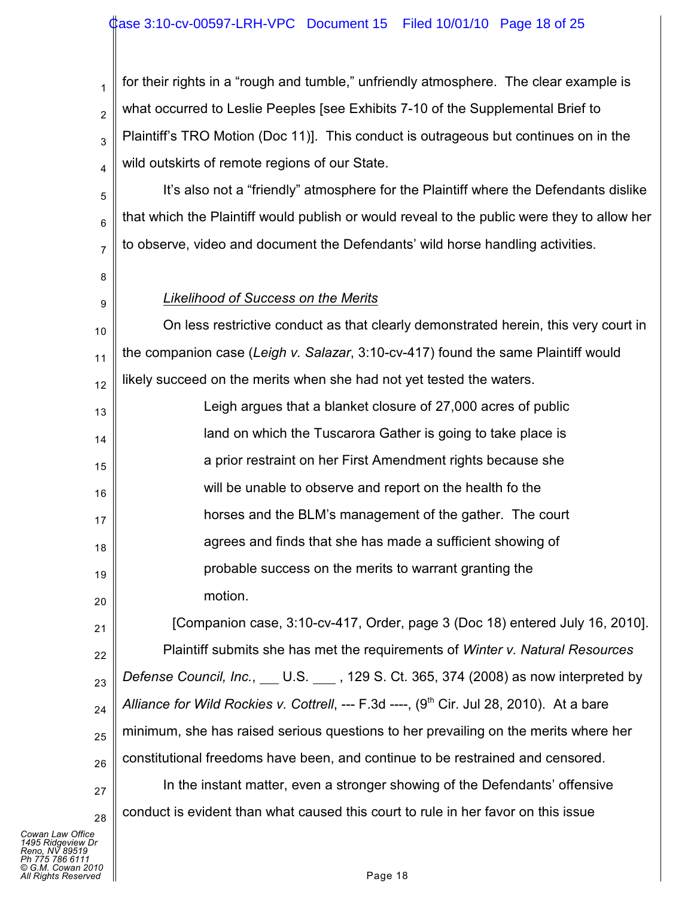### ase 3:10-cv-00597-LRH-VPC Document 15 Filed 10/01/10 Page 18 of 25

1 2 3 4 for their rights in a "rough and tumble," unfriendly atmosphere. The clear example is what occurred to Leslie Peeples [see Exhibits 7-10 of the Supplemental Brief to Plaintiff's TRO Motion (Doc 11)]. This conduct is outrageous but continues on in the wild outskirts of remote regions of our State.

It's also not a "friendly" atmosphere for the Plaintiff where the Defendants dislike that which the Plaintiff would publish or would reveal to the public were they to allow her to observe, video and document the Defendants' wild horse handling activities.

8

5

6

7

9

21

27

### *Likelihood of Success on the Merits*

10 11 12 On less restrictive conduct as that clearly demonstrated herein, this very court in the companion case (*Leigh v. Salazar*, 3:10-cv-417) found the same Plaintiff would likely succeed on the merits when she had not yet tested the waters.

13 14 15 16 17 18 19 20 Leigh argues that a blanket closure of 27,000 acres of public land on which the Tuscarora Gather is going to take place is a prior restraint on her First Amendment rights because she will be unable to observe and report on the health fo the horses and the BLM's management of the gather. The court agrees and finds that she has made a sufficient showing of probable success on the merits to warrant granting the motion.

22 23 24 25 26 [Companion case, 3:10-cv-417, Order, page 3 (Doc 18) entered July 16, 2010]. Plaintiff submits she has met the requirements of *Winter v. Natural Resources Defense Council, Inc.*, U.S., 129 S. Ct. 365, 374 (2008) as now interpreted by *Alliance for Wild Rockies v. Cottrell*, --- F.3d ----, (9<sup>th</sup> Cir. Jul 28, 2010). At a bare minimum, she has raised serious questions to her prevailing on the merits where her constitutional freedoms have been, and continue to be restrained and censored. In the instant matter, even a stronger showing of the Defendants' offensive

conduct is evident than what caused this court to rule in her favor on this issue

28 *Cowan Law Office 1495 Ridgeview Dr Reno, NV 89519 Ph 775 786 6111 © G.M. Cowan 2010*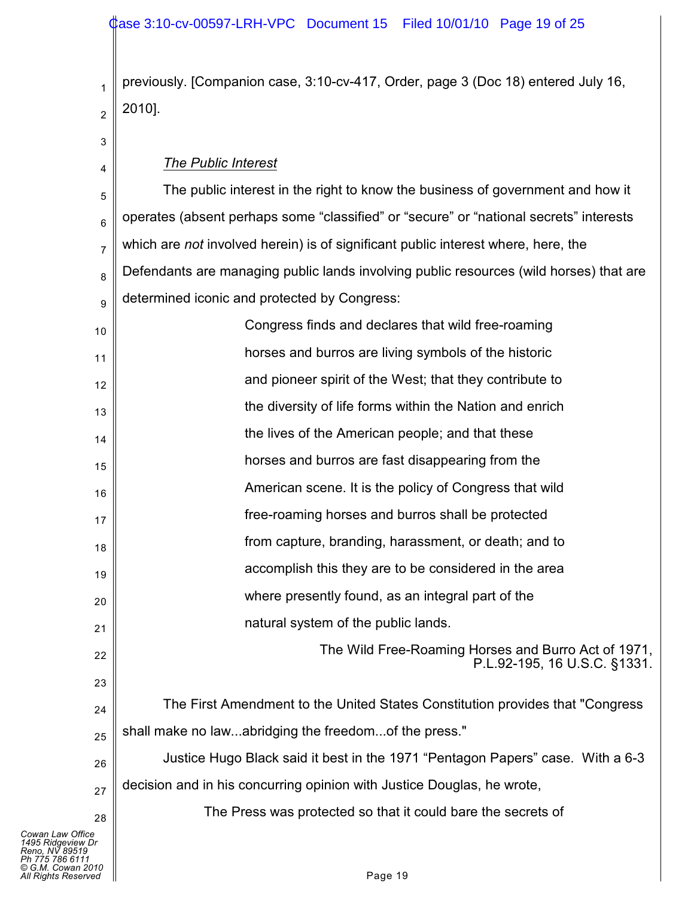# Case 3:10-cv-00597-LRH-VPC Document 15 Filed 10/01/10 Page 19 of 25

2 previously. [Companion case, 3:10-cv-417, Order, page 3 (Doc 18) entered July 16, 2010].

| 3                                                                          | The Public Interest                                                                    |
|----------------------------------------------------------------------------|----------------------------------------------------------------------------------------|
| 4<br>5                                                                     | The public interest in the right to know the business of government and how it         |
| 6                                                                          | operates (absent perhaps some "classified" or "secure" or "national secrets" interests |
| 7                                                                          | which are not involved herein) is of significant public interest where, here, the      |
| 8                                                                          | Defendants are managing public lands involving public resources (wild horses) that are |
| 9                                                                          | determined iconic and protected by Congress:                                           |
| 10                                                                         | Congress finds and declares that wild free-roaming                                     |
| 11                                                                         | horses and burros are living symbols of the historic                                   |
| 12                                                                         | and pioneer spirit of the West; that they contribute to                                |
| 13                                                                         | the diversity of life forms within the Nation and enrich                               |
| 14                                                                         | the lives of the American people; and that these                                       |
| 15                                                                         | horses and burros are fast disappearing from the                                       |
| 16                                                                         | American scene. It is the policy of Congress that wild                                 |
| 17                                                                         | free-roaming horses and burros shall be protected                                      |
| 18                                                                         | from capture, branding, harassment, or death; and to                                   |
| 19                                                                         | accomplish this they are to be considered in the area                                  |
| 20                                                                         | where presently found, as an integral part of the                                      |
| 21                                                                         | natural system of the public lands.                                                    |
| 22                                                                         | The Wild Free-Roaming Horses and Burro Act of 1971,                                    |
| 23                                                                         | P.L.92-195, 16 U.S.C. §1331.                                                           |
| 24                                                                         | The First Amendment to the United States Constitution provides that "Congress"         |
| 25                                                                         | shall make no lawabridging the freedomof the press."                                   |
| 26                                                                         | Justice Hugo Black said it best in the 1971 "Pentagon Papers" case. With a 6-3         |
| 27                                                                         | decision and in his concurring opinion with Justice Douglas, he wrote,                 |
| 28                                                                         | The Press was protected so that it could bare the secrets of                           |
| Cowan Law Office<br>1495 Ridgeview Dr<br>Reno. NV 89519<br>Ph 775 786 6111 |                                                                                        |
| © G.M. Cowan 2010<br>All Rights Reserved                                   | Page 19                                                                                |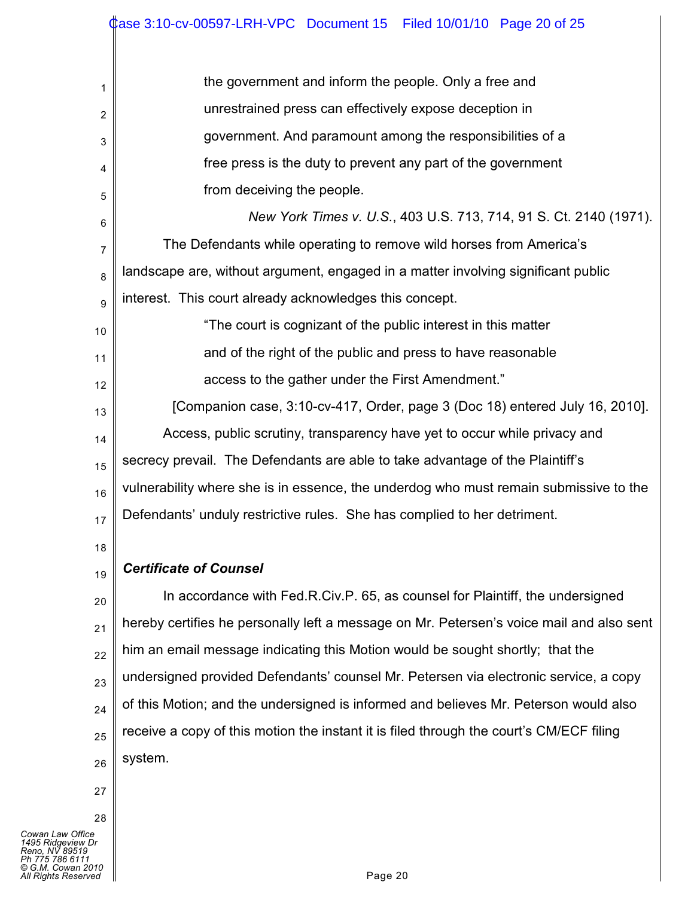| 1  | the government and inform the people. Only a free and                                    |
|----|------------------------------------------------------------------------------------------|
| 2  | unrestrained press can effectively expose deception in                                   |
| 3  | government. And paramount among the responsibilities of a                                |
| 4  | free press is the duty to prevent any part of the government                             |
| 5  | from deceiving the people.                                                               |
| 6  | New York Times v. U.S., 403 U.S. 713, 714, 91 S. Ct. 2140 (1971).                        |
| 7  | The Defendants while operating to remove wild horses from America's                      |
| 8  | landscape are, without argument, engaged in a matter involving significant public        |
| 9  | interest. This court already acknowledges this concept.                                  |
| 10 | "The court is cognizant of the public interest in this matter                            |
| 11 | and of the right of the public and press to have reasonable                              |
| 12 | access to the gather under the First Amendment."                                         |
| 13 | [Companion case, 3:10-cv-417, Order, page 3 (Doc 18) entered July 16, 2010].             |
| 14 | Access, public scrutiny, transparency have yet to occur while privacy and                |
| 15 | secrecy prevail. The Defendants are able to take advantage of the Plaintiff's            |
| 16 | vulnerability where she is in essence, the underdog who must remain submissive to the    |
| 17 | Defendants' unduly restrictive rules. She has complied to her detriment.                 |
| 18 |                                                                                          |
| 19 | <b>Certificate of Counsel</b>                                                            |
| 20 | In accordance with Fed.R.Civ.P. 65, as counsel for Plaintiff, the undersigned            |
| 21 | hereby certifies he personally left a message on Mr. Petersen's voice mail and also sent |
| 22 | him an email message indicating this Motion would be sought shortly; that the            |
| 23 | undersigned provided Defendants' counsel Mr. Petersen via electronic service, a copy     |
| 24 | of this Motion; and the undersigned is informed and believes Mr. Peterson would also     |
| 25 | receive a copy of this motion the instant it is filed through the court's CM/ECF filing  |
| 26 | system.                                                                                  |
| 27 |                                                                                          |
| 28 |                                                                                          |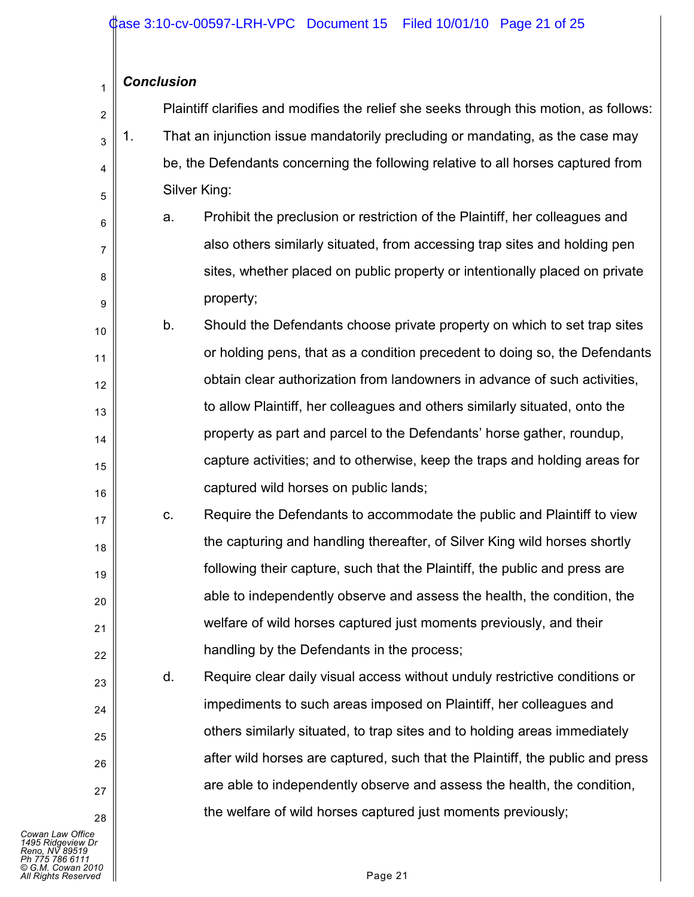## *Conclusion*

1

6

7

8

9

17

18

19

20

21

22

23

 $24$ 

25

26

27

28

| $\frac{2}{ }$  |         | Plaintiff clarifies and modifies the relief she seeks through this motion, as follows: |
|----------------|---------|----------------------------------------------------------------------------------------|
|                | $_3$ 1. | That an injunction issue mandatorily precluding or mandating, as the case may          |
| $\overline{4}$ |         | be, the Defendants concerning the following relative to all horses captured from       |
| $\mathbf{5}$   |         | Silver King:                                                                           |

a. Prohibit the preclusion or restriction of the Plaintiff, her colleagues and also others similarly situated, from accessing trap sites and holding pen sites, whether placed on public property or intentionally placed on private property;

10 11 12 13 14 15 16 b. Should the Defendants choose private property on which to set trap sites or holding pens, that as a condition precedent to doing so, the Defendants obtain clear authorization from landowners in advance of such activities, to allow Plaintiff, her colleagues and others similarly situated, onto the property as part and parcel to the Defendants' horse gather, roundup, capture activities; and to otherwise, keep the traps and holding areas for captured wild horses on public lands;

c. Require the Defendants to accommodate the public and Plaintiff to view the capturing and handling thereafter, of Silver King wild horses shortly following their capture, such that the Plaintiff, the public and press are able to independently observe and assess the health, the condition, the welfare of wild horses captured just moments previously, and their handling by the Defendants in the process;

d. Require clear daily visual access without unduly restrictive conditions or impediments to such areas imposed on Plaintiff, her colleagues and others similarly situated, to trap sites and to holding areas immediately after wild horses are captured, such that the Plaintiff, the public and press are able to independently observe and assess the health, the condition, the welfare of wild horses captured just moments previously;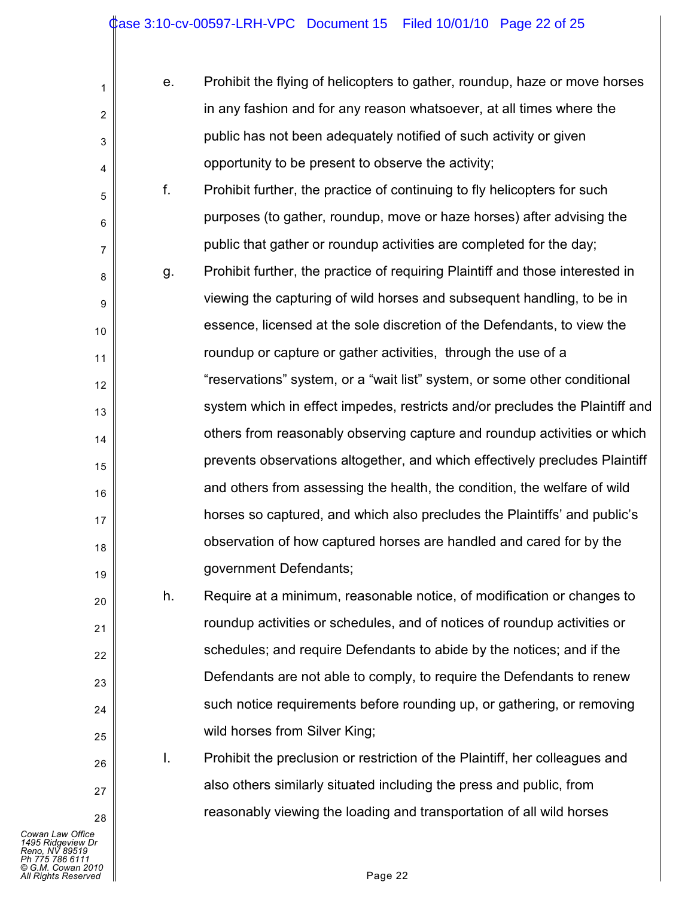| е. | Prohibit the flying of helicopters to gather, roundup, haze or move horses |
|----|----------------------------------------------------------------------------|
|    | in any fashion and for any reason whatsoever, at all times where the       |
|    | public has not been adequately notified of such activity or given          |
|    | opportunity to be present to observe the activity;                         |

f. Prohibit further, the practice of continuing to fly helicopters for such purposes (to gather, roundup, move or haze horses) after advising the public that gather or roundup activities are completed for the day;

8 9 10 11 12 13 14 15 16 17 18 19 g. Prohibit further, the practice of requiring Plaintiff and those interested in viewing the capturing of wild horses and subsequent handling, to be in essence, licensed at the sole discretion of the Defendants, to view the roundup or capture or gather activities, through the use of a "reservations" system, or a "wait list" system, or some other conditional system which in effect impedes, restricts and/or precludes the Plaintiff and others from reasonably observing capture and roundup activities or which prevents observations altogether, and which effectively precludes Plaintiff and others from assessing the health, the condition, the welfare of wild horses so captured, and which also precludes the Plaintiffs' and public's observation of how captured horses are handled and cared for by the government Defendants;

h. Require at a minimum, reasonable notice, of modification or changes to roundup activities or schedules, and of notices of roundup activities or schedules; and require Defendants to abide by the notices; and if the Defendants are not able to comply, to require the Defendants to renew such notice requirements before rounding up, or gathering, or removing wild horses from Silver King;

I. Prohibit the preclusion or restriction of the Plaintiff, her colleagues and also others similarly situated including the press and public, from reasonably viewing the loading and transportation of all wild horses

*Cowan Law Office 1495 Ridgeview Dr Reno, NV 89519 Ph 775 786 6111 © G.M. Cowan 2010 All Rights Reserved* Page 22

1

2

3

4

5

6

7

20

21

22

23

24

25

26

27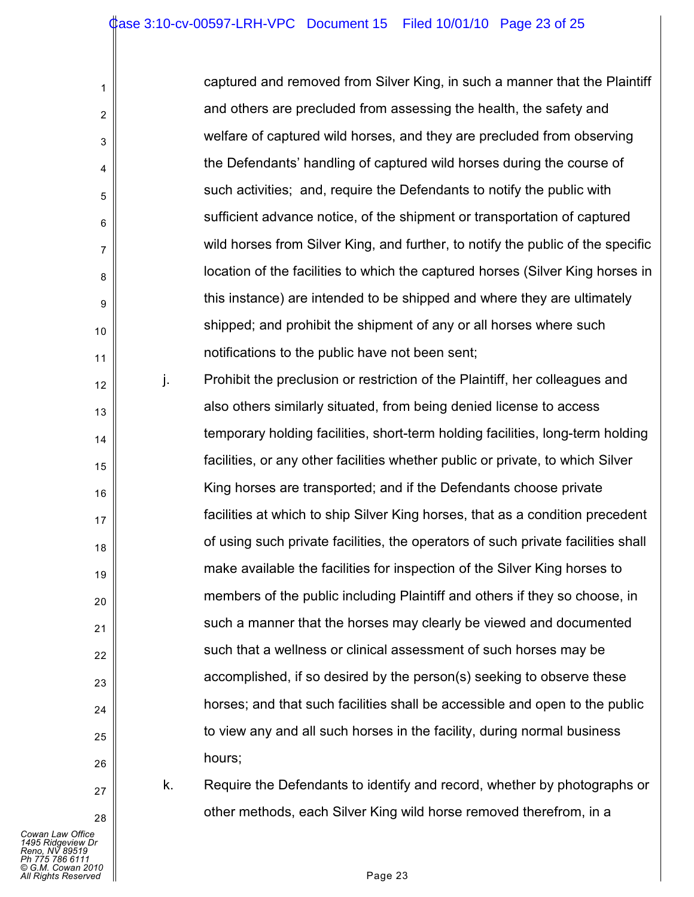| captured and removed from Silver King, in such a manner that the Plaintiff      |
|---------------------------------------------------------------------------------|
| and others are precluded from assessing the health, the safety and              |
| welfare of captured wild horses, and they are precluded from observing          |
| the Defendants' handling of captured wild horses during the course of           |
| such activities; and, require the Defendants to notify the public with          |
| sufficient advance notice, of the shipment or transportation of captured        |
| wild horses from Silver King, and further, to notify the public of the specific |
| location of the facilities to which the captured horses (Silver King horses in  |
| this instance) are intended to be shipped and where they are ultimately         |
| shipped; and prohibit the shipment of any or all horses where such              |
| notifications to the public have not been sent;                                 |
|                                                                                 |

12 13 15 16 18 19 20 22 23 24 25 26 j. Prohibit the preclusion or restriction of the Plaintiff, her colleagues and also others similarly situated, from being denied license to access temporary holding facilities, short-term holding facilities, long-term holding facilities, or any other facilities whether public or private, to which Silver King horses are transported; and if the Defendants choose private facilities at which to ship Silver King horses, that as a condition precedent of using such private facilities, the operators of such private facilities shall make available the facilities for inspection of the Silver King horses to members of the public including Plaintiff and others if they so choose, in such a manner that the horses may clearly be viewed and documented such that a wellness or clinical assessment of such horses may be accomplished, if so desired by the person(s) seeking to observe these horses; and that such facilities shall be accessible and open to the public to view any and all such horses in the facility, during normal business hours;

27 28

1

2

3

4

5

6

7

8

9

10

11

14

17

21

k. Require the Defendants to identify and record, whether by photographs or other methods, each Silver King wild horse removed therefrom, in a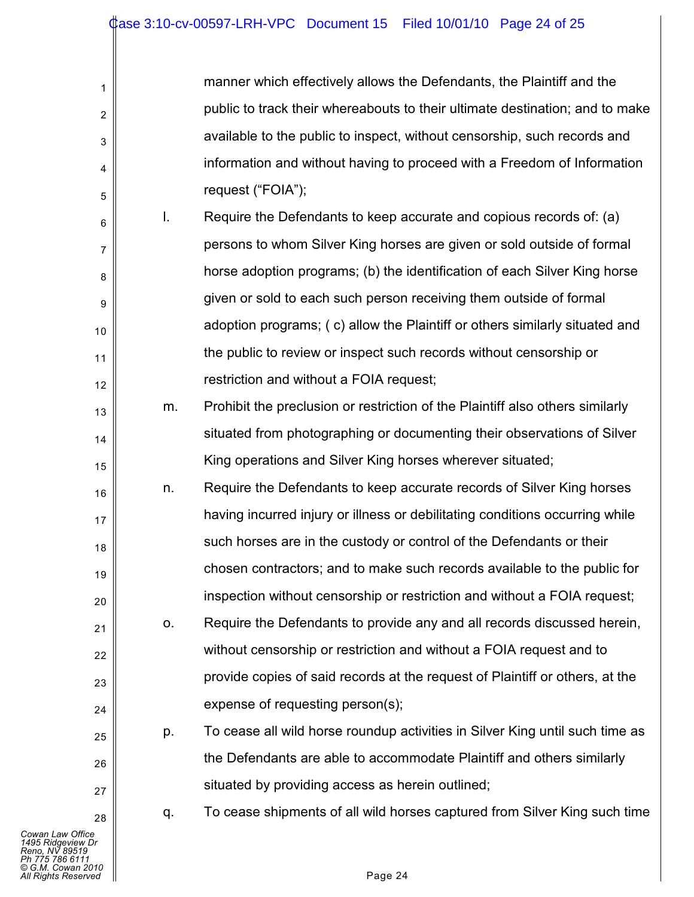| manner which effectively allows the Defendants, the Plaintiff and the        |
|------------------------------------------------------------------------------|
| public to track their whereabouts to their ultimate destination; and to make |
| available to the public to inspect, without censorship, such records and     |
| information and without having to proceed with a Freedom of Information      |
| request ("FOIA");                                                            |

- 6 7 8 9 10 11 12 l. Require the Defendants to keep accurate and copious records of: (a) persons to whom Silver King horses are given or sold outside of formal horse adoption programs; (b) the identification of each Silver King horse given or sold to each such person receiving them outside of formal adoption programs; ( c) allow the Plaintiff or others similarly situated and the public to review or inspect such records without censorship or restriction and without a FOIA request;
	- m. Prohibit the preclusion or restriction of the Plaintiff also others similarly situated from photographing or documenting their observations of Silver King operations and Silver King horses wherever situated;
- 16 17 18 19 20 n. Require the Defendants to keep accurate records of Silver King horses having incurred injury or illness or debilitating conditions occurring while such horses are in the custody or control of the Defendants or their chosen contractors; and to make such records available to the public for inspection without censorship or restriction and without a FOIA request;
	- o. Require the Defendants to provide any and all records discussed herein, without censorship or restriction and without a FOIA request and to provide copies of said records at the request of Plaintiff or others, at the expense of requesting person(s);
		- p. To cease all wild horse roundup activities in Silver King until such time as the Defendants are able to accommodate Plaintiff and others similarly situated by providing access as herein outlined;

1

2

3

4

5

13

14

15

21

22

23

24

25

26

27

28

q. To cease shipments of all wild horses captured from Silver King such time